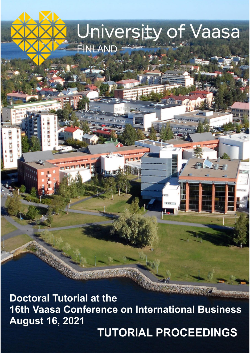**Doctoral Tutorial at the 16th Vaasa Conference on International Business August 16, 2021** 

**TUTORIAL PROCEEDINGS** 

 $\overline{\phantom{a}}$ 

University of Vaasa

FINLAND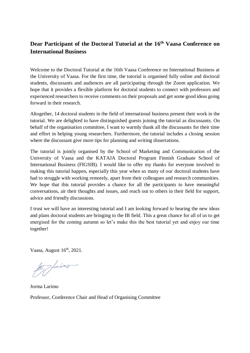# **Dear Participant of the Doctoral Tutorial at the 16 th Vaasa Conference on International Business**

Welcome to the Doctoral Tutorial at the 16th Vaasa Conference on International Business at the University of Vaasa. For the first time, the tutorial is organised fully online and doctoral students, discussants and audiences are all participating through the Zoom application. We hope that it provides a flexible platform for doctoral students to connect with professors and experienced researchers to receive comments on their proposals and get some good ideas going forward in their research.

Altogether, 14 doctoral students in the field of international business present their work in the tutorial. We are delighted to have distinguished guests joining the tutorial as discussants. On behalf of the organisation committee, I want to warmly thank all the discussants for their time and effort in helping young researchers. Furthermore, the tutorial includes a closing session where the discussant give more tips for planning and writing dissertations.

The tutorial is jointly organised by the School of Marketing and Communication of the University of Vaasa and the KATAJA Doctoral Program Finnish Graduate School of International Business (FIGSIB). I would like to offer my thanks for everyone involved in making this tutorial happen, especially this year when so many of our doctoral students have had to struggle with working remotely, apart from their colleagues and research communities. We hope that this tutorial provides a chance for all the participants to have meaningful conversations, air their thoughts and issues, and reach out to others in their field for support, advice and friendly discussions.

I trust we will have an interesting tutorial and I am looking forward to hearing the new ideas and plans doctoral students are bringing to the IB field. This a great chance for all of us to get energised for the coming autumn so let's make this the best tutorial yet and enjoy our time together!

Vaasa, August 16<sup>th</sup>, 2021.

1 finimo

Jorma Larimo Professor, Conference Chair and Head of Organising Committee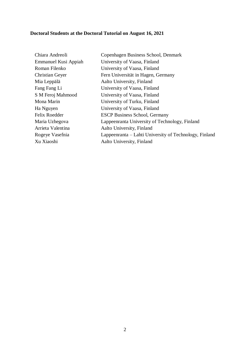# **Doctoral Students at the Doctoral Tutorial on August 16, 2021**

| Chiara Andreoli        | Copenhagen Business School, Denmark                    |
|------------------------|--------------------------------------------------------|
| Emmanuel Kusi Appiah   | University of Vaasa, Finland                           |
| Roman Filenko          | University of Vaasa, Finland                           |
| <b>Christian Geyer</b> | Fern Universität in Hagen, Germany                     |
| Mia Leppälä            | Aalto University, Finland                              |
| Fang Fang Li           | University of Vaasa, Finland                           |
| S M Feroj Mahmood      | University of Vaasa, Finland                           |
| Mona Marin             | University of Turku, Finland                           |
| Ha Nguyen              | University of Vaasa, Finland                           |
| Felix Roedder          | <b>ESCP Business School, Germany</b>                   |
| Maria Uzhegova         | Lappeenranta University of Technology, Finland         |
| Arrieta Valentina      | Aalto University, Finland                              |
| Rogeye Vasefnia        | Lappeenranta – Lahti University of Technology, Finland |
| Xu Xiaoshi             | Aalto University, Finland                              |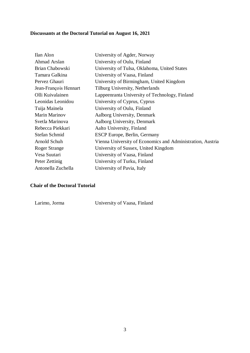# **Discussants at the Doctoral Tutorial on August 16, 2021**

| Ilan Alon             | University of Agder, Norway                                |
|-----------------------|------------------------------------------------------------|
| Ahmad Arslan          | University of Oulu, Finland                                |
| Brian Chabowski       | University of Tulsa, Oklahoma, United States               |
| Tamara Galkina        | University of Vaasa, Finland                               |
| Pervez Ghauri         | University of Birmingham, United Kingdom                   |
| Jean-François Hennart | Tilburg University, Netherlands                            |
| Olli Kuivalainen      | Lappeenranta University of Technology, Finland             |
| Leonidas Leonidou     | University of Cyprus, Cyprus                               |
| Tuija Mainela         | University of Oulu, Finland                                |
| Marin Marinov         | Aalborg University, Denmark                                |
| Svetla Marinova       | Aalborg University, Denmark                                |
| Rebecca Piekkari      | Aalto University, Finland                                  |
| Stefan Schmid         | ESCP Europe, Berlin, Germany                               |
| Arnold Schuh          | Vienna University of Economics and Administration, Austria |
| <b>Roger Strange</b>  | University of Sussex, United Kingdom                       |
| Vesa Suutari          | University of Vaasa, Finland                               |
| Peter Zettinig        | University of Turku, Finland                               |
| Antonella Zuchella    | University of Pavia, Italy                                 |
|                       |                                                            |

#### **Chair of the Doctoral Tutorial**

Larimo, Jorma University of Vaasa, Finland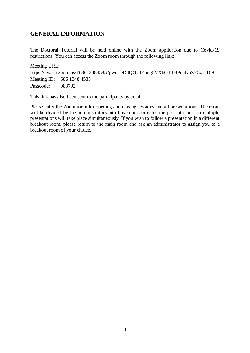## **GENERAL INFORMATION**

The Doctoral Tutorial will be held online with the Zoom application due to Covid-19 restrictions. You can access the Zoom room through the following link:

Meeting URL: https://uwasa.zoom.us/j/68613484585?pwd=eDdQOUlEbng0VXhGTTBPenNoZE5xUT09 Meeting ID: 686 1348 4585 Passcode: 083792

This link has also been sent to the participants by email.

Please enter the Zoom room for opening and closing sessions and all presentations. The room will be divided by the administrators into breakout rooms for the presentations, so multiple presentations will take place simultaneously. If you wish to follow a presentation in a different breakout room, please return to the main room and ask an administrator to assign you to a breakout room of your choice.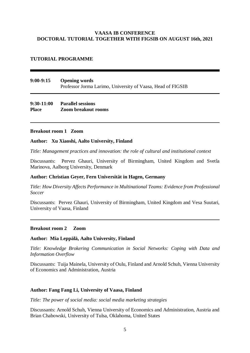#### **VAASA IB CONFERENCE DOCTORAL TUTORIAL TOGETHER WITH FIGSIB ON AUGUST 16th, 2021**

#### **TUTORIAL PROGRAMME**

#### **9:00-9:15 Opening words** Professor Jorma Larimo, University of Vaasa, Head of FIGSIB

#### **9:30-11:00 Parallel sessions Place Zoom breakout rooms**

#### **Breakout room 1 Zoom**

#### **Author: Xu Xiaoshi, Aalto University, Finland**

*Title: Management practices and innovation: the role of cultural and institutional context*

Discussants: Pervez Ghauri, University of Birmingham, United Kingdom and Svetla Marinova, Aalborg University, Denmark

#### **Author: Christian Geyer, Fern Universität in Hagen, Germany**

*Title: How Diversity Affects Performance in Multinational Teams: Evidence from Professional Soccer*

Discussants: Pervez Ghauri, University of Birmingham, United Kingdom and Vesa Suutari, University of Vaasa, Finland

#### **Breakout room 2 Zoom**

#### **Author: Mia Leppälä, Aalto University, Finland**

*Title: Knowledge Brokering Communication in Social Networks: Coping with Data and Information Overflow*

Discussants: Tuija Mainela, University of Oulu, Finland and Arnold Schuh, Vienna University of Economics and Administration, Austria

#### **Author: Fang Fang Li, University of Vaasa, Finland**

*Title: The power of social media: social media marketing strategies* 

Discussants: Arnold Schuh, Vienna University of Economics and Administration, Austria and Brian Chabowski, University of Tulsa, Oklahoma, United States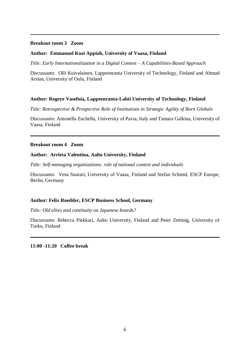#### **Breakout room 3 Zoom**

#### **Author: Emmanuel Kusi Appiah, University of Vaasa, Finland**

*Title: Early Internationalization in a Digital Context – A Capabilities-Based Approach*

Discussants: Olli Kuivalainen, Lappeenranta University of Technology, Finland and Ahmad Arslan, University of Oulu, Finland

#### **Author: Rogeye Vasefnia, Lappeenranta-Lahti University of Technology, Finland**

*Title: Retrospective & Prospective Role of Institutions in Strategic Agility of Born Globals* 

Discussants: Antonella Zuchella, University of Pavia, Italy and Tamara Galkina, University of Vaasa, Finland

#### **Breakout room 4 Zoom**

#### **Author: Arrieta Valentina, Aalto University, Finland**

*Title: Self-managing organizations: role of national context and individuals*

Discussants: Vesa Suutari, University of Vaasa, Finland and Stefan Schmid, ESCP Europe, Berlin, Germany

#### **Author: Felix Roedder, ESCP Business School, Germany**

*Title: Old elites and continuity on Japanese boards?* 

Discussants: Rebecca Piekkari, Aalto University, Finland and Peter Zettinig, University of Turku, Finland

**11:00 -11:20 Coffee break**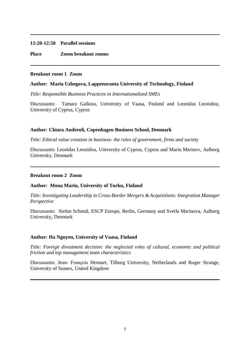#### **11:20-12:50 Parallel sessions**

**Place Zoom breakout rooms**

#### **Breakout room 1 Zoom**

#### **Author: Maria Uzhegova, Lappeenranta University of Technology, Finland**

*Title: Responsible Business Practices in Internationalized SMEs*

Discussants: Tamara Galkina, University of Vaasa, Finland and Leonidas Leonidou, University of Cyprus, Cyprus

#### **Author: Chiara Andreoli, Copenhagen Business School, Denmark**

*Title: Ethical value creation in business- the roles of government, firms and society* 

Discussants: Leonidas Leonidou, University of Cyprus, Cyprus and Marin Marinov, Aalborg University, Denmark

#### **Breakout room 2 Zoom**

#### **Author: Mona Marin, University of Turku, Finland**

*Title: Investigating Leadership in Cross-Border Mergers & Acquisitions: Integration Manager Perspective*

Discussants: Stefan Schmid, ESCP Europe, Berlin, Germany and Svetla Marinova, Aalborg University, Denmark

#### **Author: Ha Nguyen, University of Vaasa, Finland**

*Title: Foreign divestment decision: the neglected roles of cultural, economic and political friction and top management team characteristics* 

Discussants: Jean- François Hennart, Tilburg University, Netherlands and Roger Strange, University of Sussex, United Kingdom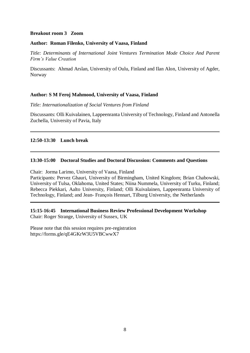#### **Breakout room 3 Zoom**

#### **Author: Roman Filenko, University of Vaasa, Finland**

*Title: Determinants of International Joint Ventures Termination Mode Choice And Parent Firm's Value Creation*

Discussants: Ahmad Arslan, University of Oulu, Finland and Ilan Alon, University of Agder, Norway

#### **Author: S M Feroj Mahmood, University of Vaasa, Finland**

*Title: Internationalization of Social Ventures from Finland* 

Discussants: Olli Kuivalainen, Lappeenranta University of Technology, Finland and Antonella Zuchella, University of Pavia, Italy

#### **12:50-13:30 Lunch break**

#### **13:30-15:00 Doctoral Studies and Doctoral Discussion: Comments and Questions**

Chair: Jorma Larimo, University of Vaasa, Finland

Participants: Pervez Ghauri, University of Birmingham, United Kingdom; Brian Chabowski, University of Tulsa, Oklahoma, United States; Niina Nummela, University of Turku, Finland; Rebecca Piekkari, Aalto University, Finland; Olli Kuivalainen, Lappeenranta University of Technology, Finland; and Jean- François Hennart, Tilburg University, the Netherlands

**15:15-16:45 International Business Review Professional Development Workshop** Chair: Roger Strange, University of Sussex, UK

Please note that this session requires pre-registration https://forms.gle/qE4GKrW3U5VBCwwX7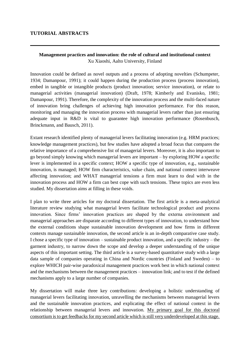#### **TUTORIAL ABSTRACTS**

#### **Management practices and innovation: the role of cultural and institutional context** Xu Xiaoshi, Aalto University, Finland

Innovation could be defined as novel outputs and a process of adopting novelties (Schumpeter, 1934; Damanpour, 1991); it could happen during the production process (process innovation), embed in tangible or intangible products (product innovation; service innovation), or relate to managerial activities (managerial innovation) (Draft, 1978; Kimberly and Evanisko, 1981; Damanpour, 1991). Therefore, the complexity of the innovation process and the multi-faced nature of innovation bring challenges of achieving high innovation performance. For this reason, monitoring and managing the innovation process with managerial levers rather than just ensuring adequate input in R&D is vital to guarantee high innovation performance (Rosenbusch, Brinckmann, and Bausch, 2011).

Extant research identified plenty of managerial levers facilitating innovation (e.g. HRM practices; knowledge management practices), but few studies have adopted a broad focus that compares the relative importance of a comprehensive list of managerial levers. Moreover, it is also important to go beyond simply knowing which managerial levers are important – by exploring HOW a specific lever is implemented in a specific context; HOW a specific type of innovation, e.g., sustainable innovation, is managed; HOW firm characteristics, value chain, and national context interweave affecting innovation; and WHAT managerial tensions a firm must learn to deal with in the innovation process and HOW a firm can best cope with such tensions. These topics are even less studied. My dissertation aims at filling in these voids.

I plan to write three articles for my doctoral dissertation. The first article is a meta-analytical literature review studying what managerial levers facilitate technological product and process innovation. Since firms' innovation practices are shaped by the externa environment and managerial approaches are disparate according to different types of innovation, to understand how the external conditions shape sustainable innovation development and how firms in different contexts manage sustainable innovation, the second article is an in-depth comparative case study. I chose a specific type of innovation – sustainable product innovation, and a specific industry – the garment industry, to narrow down the scope and develop a deeper understanding of the unique aspects of this important setting. The third article is a survey-based quantitative study with a large data sample of companies operating in China and Nordic countries (Finland and Sweden) – to explore WHICH pair-wise paradoxical management practices work best in which national context and the mechanisms between the management practices – innovation link; and to test if the defined mechanisms apply to a large number of companies.

My dissertation will make three key contributions: developing a holistic understanding of managerial levers facilitating innovation, unravelling the mechanisms between managerial levers and the sustainable innovation practices, and explicating the effect of national context in the relationship between managerial levers and innovation. My primary goal for this doctoral consortium is to get feedbacks for my second article which is still very underdeveloped at this stage.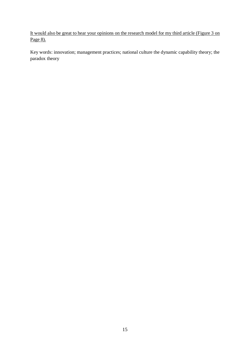It would also be great to hear your opinions on the research model for my third article (Figure 3 on Page 8).

Key words: innovation; management practices; national culture the dynamic capability theory; the paradox theory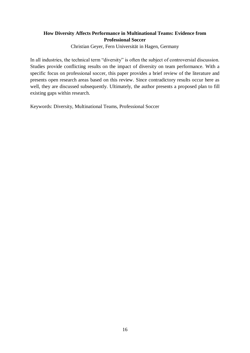### **How Diversity Affects Performance in Multinational Teams: Evidence from Professional Soccer**

Christian Geyer, Fern Universität in Hagen, Germany

In all industries, the technical term "diversity" is often the subject of controversial discussion. Studies provide conflicting results on the impact of diversity on team performance. With a specific focus on professional soccer, this paper provides a brief review of the literature and presents open research areas based on this review. Since contradictory results occur here as well, they are discussed subsequently. Ultimately, the author presents a proposed plan to fill existing gaps within research.

Keywords: Diversity, Multinational Teams, Professional Soccer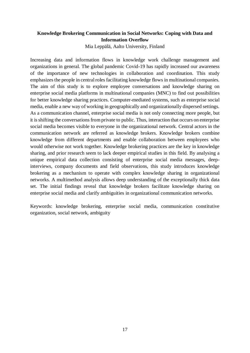## **Knowledge Brokering Communication in Social Networks: Coping with Data and Information Overflow**

Mia Leppälä, Aalto University, Finland

Increasing data and information flows in knowledge work challenge management and organizations in general. The global pandemic Covid-19 has rapidly increased our awareness of the importance of new technologies in collaboration and coordination. This study emphasizes the people in central roles facilitating knowledge flows in multinational companies. The aim of this study is to explore employee conversations and knowledge sharing on enterprise social media platforms in multinational companies (MNC) to find out possibilities for better knowledge sharing practices. Computer-mediated systems, such as enterprise social media, enable a new way of working in geographically and organizationally dispersed settings. As a communication channel, enterprise social media is not only connecting more people, but it is shifting the conversations from private to public. Thus, interaction that occurs on enterprise social media becomes visible to everyone in the organizational network. Central actors in the communication network are referred as knowledge brokers. Knowledge brokers combine knowledge from different departments and enable collaboration between employees who would otherwise not work together. Knowledge brokering practices are the key in knowledge sharing, and prior research seem to lack deeper empirical studies in this field. By analysing a unique empirical data collection consisting of enterprise social media messages, deepinterviews, company documents and field observations, this study introduces knowledge brokering as a mechanism to operate with complex knowledge sharing in organizational networks. A multimethod analysis allows deep understanding of the exceptionally thick data set. The initial findings reveal that knowledge brokers facilitate knowledge sharing on enterprise social media and clarify ambiguities in organizational communication networks.

Keywords: knowledge brokering, enterprise social media, communication constitutive organization, social network, ambiguity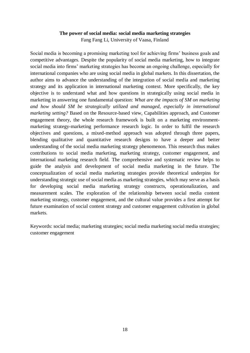#### **The power of social media: social media marketing strategies**

Fang Fang Li, University of Vaasa, Finland

Social media is becoming a promising marketing tool for achieving firms' business goals and competitive advantages. Despite the popularity of social media marketing, how to integrate social media into firms' marketing strategies has become an ongoing challenge, especially for international companies who are using social media in global markets. In this dissertation, the author aims to advance the understanding of the integration of social media and marketing strategy and its application in international marketing context. More specifically, the key objective is to understand what and how questions in strategically using social media in marketing in answering one fundamental question: *What are the impacts of SM on marketing and how should SM be strategically utilized and managed, especially in international marketing setting?* Based on the Resource-based view, Capabilities approach, and Customer engagement theory, the whole research framework is built on a marketing environmentmarketing strategy-marketing performance research logic. In order to fulfil the research objectives and questions, a mixed-method approach was adopted through three papers, blending qualitative and quantitative research designs to have a deeper and better understanding of the social media marketing strategy phenomenon. This research thus makes contributions to social media marketing, marketing strategy, customer engagement, and international marketing research field. The comprehensive and systematic review helps to guide the analysis and development of social media marketing in the future. The conceptualization of social media marketing strategies provide theoretical underpins for understanding strategic use of social media as marketing strategies, which may serve as a basis for developing social media marketing strategy constructs, operationalization, and measurement scales. The exploration of the relationship between social media content marketing strategy, customer engagement, and the cultural value provides a first attempt for future examination of social content strategy and customer engagement cultivation in global markets.

Keywords: social media; marketing strategies; social media marketing social media strategies; customer engagement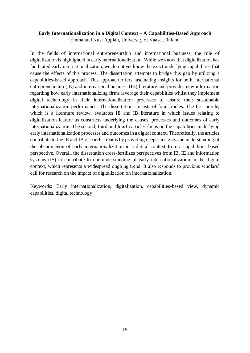#### **Early Internationalization in a Digital Context – A Capabilities-Based Approach**

Emmanuel Kusi Appiah, University of Vaasa, Finland

In the fields of international entrepreneurship and international business, the role of digitalization is highlighted in early internationalization. While we know that digitalization has facilitated early internationalization, we do not yet know the exact underlying capabilities that cause the effects of this process. The dissertation attempts to bridge this gap by utilizing a capabilities-based approach. This approach offers fascinating insights for both international entrepreneurship (IE) and international business (IB) literature and provides new information regarding how early internationalizing firms leverage their capabilities whilst they implement digital technology in their internationalization processes to ensure their sustainable internationalization performance. The dissertation consists of four articles. The first article, which is a literature review, evaluates IE and IB literature in which issues relating to digitalization feature as constructs underlying the causes, processes and outcomes of early internationalization. The second, third and fourth articles focus on the capabilities underlying early internationalization processes and outcomes in a digital context. Theoretically, the articles contribute to the IE and IB research streams by providing deeper insights and understanding of the phenomenon of early internationalization in a digital context from a capabilities-based perspective. Overall, the dissertation cross-fertilizes perspectives from IB, IE and information systems (IS) to contribute to our understanding of early internationalization in the digital context, which represents a widespread ongoing trend. It also responds to previous scholars' call for research on the impact of digitalization on internationalization.

Keywords: Early internationalization, digitalization, capabilities-based view, dynamic capabilities, digital technology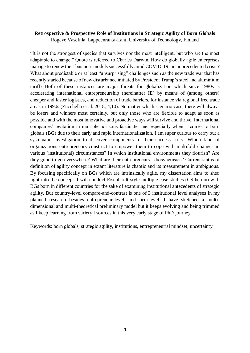#### **Retrospective & Prospective Role of Institutions in Strategic Agility of Born Globals**

Rogeye Vasefnia, Lappeenranta-Lahti University of Technology, Finland

"It is not the strongest of species that survives nor the most intelligent, but who are the most adaptable to change." Quote is referred to Charles Darwin. How do globally agile enterprises manage to renew their business models successfully amid COVID-19; an unprecedented crisis? What about predictable or at least "unsurprising" challenges such as the new trade war that has recently started because of new disturbance initiated by President Trump's steel and aluminium tariff? Both of these instances are major threats for globalization which since 1980s is accelerating international entrepreneurship (hereinafter IE) by means of (among others) cheaper and faster logistics, and reduction of trade barriers, for instance via regional free trade areas in 1990s (Zucchella et al. 2018, 4,10). No matter which scenario case, there will always be losers and winners most certainly, but only those who are flexible to adapt as soon as possible and with the most innovative and proactive ways will survive and thrive. International companies' levitation in multiple horizons fascinates me, especially when it comes to born globals (BG) due to their early and rapid internationalization. I am super curious to carry out a systematic investigation to discover components of their success story. Which kind of organizations entrepreneurs construct to empower them to cope with multifold changes in various (institutional) circumstances? In which institutional environments they flourish? Are they good to go everywhere? What are their entrepreneurs' idiosyncrasies? Current status of definition of agility concept in extant literature is chaotic and its measurement in ambiguous. By focusing specifically on BGs which are intrinsically agile, my dissertation aims to shed light into the concept. I will conduct Eisenhardt-style multiple case studies (CS herein) with BGs born in different countries for the sake of examining institutional antecedents of strategic agility. But country-level compare-and-contrast is one of 3 institutional level analyses in my planned research besides entrepreneur-level, and firm-level. I have sketched a multidimensional and multi-theoretical preliminary model but it keeps evolving and being trimmed as I keep learning from variety f sources in this very early stage of PhD journey.

Keywords: born globals, strategic agility, institutions, entrepreneurial mindset, uncertainty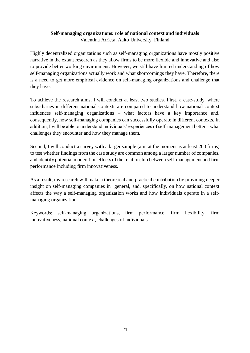#### **Self-managing organizations: role of national context and individuals**

Valentina Arrieta, Aalto University, Finland

Highly decentralized organizations such as self-managing organizations have mostly positive narrative in the extant research as they allow firms to be more flexible and innovative and also to provide better working environment. However, we still have limited understanding of how self-managing organizations actually work and what shortcomings they have. Therefore, there is a need to get more empirical evidence on self-managing organizations and challenge that they have.

To achieve the research aims, I will conduct at least two studies. First, a case-study, where subsidiaries in different national contexts are compared to understand how national context influences self-managing organizations – what factors have a key importance and, consequently, how self-managing companies can successfully operate in different contexts. In addition, I will be able to understand individuals' experiences of self-management better – what challenges they encounter and how they manage them.

Second, I will conduct a survey with a larger sample (aim at the moment is at least 200 firms) to test whether findings from the case study are common among a larger number of companies, and identify potential moderation effects of the relationship between self-management and firm performance including firm innovativeness.

As a result, my research will make a theoretical and practical contribution by providing deeper insight on self-managing companies in general, and, specifically, on how national context affects the way a self-managing organization works and how individuals operate in a selfmanaging organization.

Keywords: self-managing organizations, firm performance, firm flexibility, firm innovativeness, national context, challenges of individuals.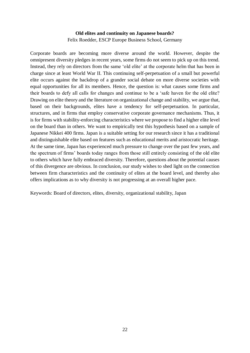#### **Old elites and continuity on Japanese boards?** Felix Roedder, ESCP Europe Business School, Germany

Corporate boards are becoming more diverse around the world. However, despite the omnipresent diversity pledges in recent years, some firms do not seem to pick up on this trend. Instead, they rely on directors from the same 'old elite' at the corporate helm that has been in charge since at least World War II. This continuing self-perpetuation of a small but powerful elite occurs against the backdrop of a grander social debate on more diverse societies with equal opportunities for all its members. Hence, the question is: what causes some firms and their boards to defy all calls for changes and continue to be a 'safe haven for the old elite? Drawing on elite theory and the literature on organizational change and stability, we argue that, based on their backgrounds, elites have a tendency for self-perpetuation. In particular, structures, and in firms that employ conservative corporate governance mechanisms. Thus, it is for firms with stability-enforcing characteristics where we propose to find a higher elite level on the board than in others. We want to empirically test this hypothesis based on a sample of Japanese Nikkei 400 firms. Japan is a suitable setting for our research since it has a traditional and distinguishable elite based on features such as educational merits and aristocratic heritage. At the same time, Japan has experienced much pressure to change over the past few years, and the spectrum of firms' boards today ranges from those still entirely consisting of the old elite to others which have fully embraced diversity. Therefore, questions about the potential causes of this divergence are obvious. In conclusion, our study wishes to shed light on the connection between firm characteristics and the continuity of elites at the board level, and thereby also offers implications as to why diversity is not progressing at an overall higher pace.

Keywords: Board of directors, elites, diversity, organizational stability, Japan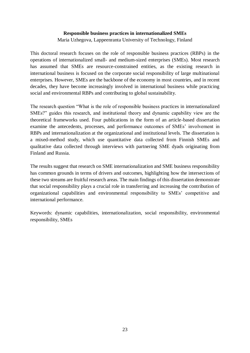#### **Responsible business practices in internationalized SMEs**

Maria Uzhegova, Lappeenranta University of Technology, Finland

This doctoral research focuses on the role of responsible business practices (RBPs) in the operations of internationalized small- and medium-sized enterprises (SMEs). Most research has assumed that SMEs are resource-constrained entities, as the existing research in international business is focused on the corporate social responsibility of large multinational enterprises. However, SMEs are the backbone of the economy in most countries, and in recent decades, they have become increasingly involved in international business while practicing social and environmental RBPs and contributing to global sustainability.

The research question "What is the role of responsible business practices in internationalized SMEs?" guides this research, and institutional theory and dynamic capability view are the theoretical frameworks used. Four publications in the form of an article-based dissertation examine the antecedents, processes, and performance outcomes of SMEs' involvement in RBPs and internationalization at the organizational and institutional levels. The dissertation is a mixed-method study, which use quantitative data collected from Finnish SMEs and qualitative data collected through interviews with partnering SME dyads originating from Finland and Russia.

The results suggest that research on SME internationalization and SME business responsibility has common grounds in terms of drivers and outcomes, highlighting how the intersections of these two streams are fruitful research areas. The main findings of this dissertation demonstrate that social responsibility plays a crucial role in transferring and increasing the contribution of organizational capabilities and environmental responsibility to SMEs' competitive and international performance.

Keywords: dynamic capabilities, internationalization, social responsibility, environmental responsibility, SMEs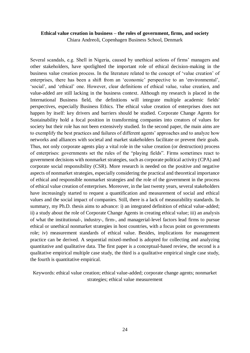#### **Ethical value creation in business – the roles of government, firms, and society**

Chiara Andreoli, Copenhagen Business School, Denmark

Several scandals, e.g. Shell in Nigeria, caused by unethical actions of firms' managers and other stakeholders, have spotlighted the important role of ethical decision-making in the business value creation process. In the literature related to the concept of 'value creation' of enterprises, there has been a shift from an 'economic' perspective to an 'environmental', 'social', and 'ethical' one. However, clear definitions of ethical value, value creation, and value-added are still lacking in the business context. Although my research is placed in the International Business field, the definitions will integrate multiple academic fields' perspectives, especially Business Ethics. The ethical value creation of enterprises does not happen by itself: key drivers and barriers should be studied. Corporate Change Agents for Sustainability hold a focal position in transforming companies into creators of values for society but their role has not been extensively studied. In the second paper, the main aims are to exemplify the best practices and failures of different agents' approaches and to analyze how networks and alliances with societal and market stakeholders facilitate or prevent their goals. Thus, not only corporate agents play a vital role in the value creation (or destruction) process of enterprises: governments set the rules of the "playing fields". Firms sometimes react to government decisions with nonmarket strategies, such as corporate political activity (CPA) and corporate social responsibility (CSR). More research is needed on the positive and negative aspects of nonmarket strategies, especially considering the practical and theoretical importance of ethical and responsible nonmarket strategies and the role of the government in the process of ethical value creation of enterprises. Moreover, in the last twenty years, several stakeholders have increasingly started to request a quantification and measurement of social and ethical values and the social impact of companies. Still, there is a lack of measurability standards. In summary, my Ph.D. thesis aims to advance: i) an integrated definition of ethical value-added; ii) a study about the role of Corporate Change Agents in creating ethical value; iii) an analysis of what the institutional-, industry-, firm-, and managerial-level factors lead firms to pursue ethical or unethical nonmarket strategies in host countries, with a focus point on governments role; iv) measurement standards of ethical value. Besides, implications for management practice can be derived. A sequential mixed-method is adopted for collecting and analyzing quantitative and qualitative data. The first paper is a conceptual-based review, the second is a qualitative empirical multiple case study, the third is a qualitative empirical single case study, the fourth is quantitative empirical.

Keywords: ethical value creation; ethical value-added; corporate change agents; nonmarket strategies; ethical value measurement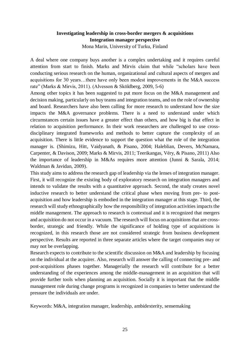# **Investigating leadership in cross-border mergers & acquisitions Integration manager perspective**

Mona Marin, University of Turku, Finland

A deal where one company buys another is a complex undertaking and it requires careful attention from start to finish. Marks and Mirvis claim that while "scholars have been conducting serious research on the human, organizational and cultural aspects of mergers and acquisitions for 30 years…there have only been modest improvements in the M&A success rate" (Marks & Mirvis, 2011). (Alvesson & Sköldberg, 2009, 5-6)

Among other topics it has been suggested to put more focus on the M&A management and decision making, particularly on buy teams and integration teams, and on the role of ownership and board. Researchers have also been calling for more research to understand how the size impacts the M&A governance problems. There is a need to understand under which circumstances certain issues have a greater effect than others, and how big is that effect in relation to acquisition performance. In their work researchers are challenged to use crossdisciplinary integrated frameworks and methods to better capture the complexity of an acquisition. There is little evidence to support the question what the role of the integration manager is. (Shimizu, Hitt, Vaidyanath, & Pisano, 2004; Haleblian, Devers, McNamara, Carpenter, & Davison, 2009; Marks & Mirvis, 2011; Teerikangas, Véry, & Pisano, 2011) Also the importance of leadership in M&As requires more attention (Junni & Sarala, 2014; Waldman & Javidan, 2009).

This study aims to address the research gap of leadership via the lenses of integration manager. First, it will recognize the existing body of exploratory research on integration managers and intends to validate the results with a quantitative approach. Second, the study creates novel inductive research to better understand the critical phase when moving from pre- to postacquisition and how leadership is embodied in the integration manager at this stage. Third, the research will study ethnographically how the responsibility of integration activities impacts the middle management. The approach to research is contextual and it is recognized that mergers and acquisition do not occur in a vacuum. The research will focus on acquisitions that are crossborder, strategic and friendly. While the significance of holding type of acquisitions is recognized, in this research those are not considered strategic from business development perspective. Results are reported in three separate articles where the target companies may or may not be overlapping.

Research expects to contribute to the scientific discussion on M&A and leadership by focusing on the individual at the acquirer. Also, research will answer the calling of connecting pre- and post-acquisitions phases together. Managerially the research will contribute for a better understanding of the experiences among the middle-management in an acquisition that will provide further tools when planning an acquisition. Socially it is important that the middle management role during change programs is recognized in companies to better understand the pressure the individuals are under.

Keywords: M&A, integration manager, leadership, ambidexterity, sensemaking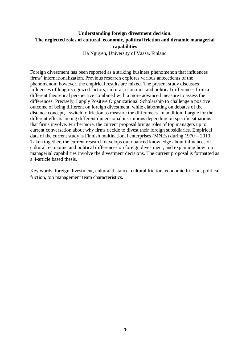## **Understanding foreign divestment decision. The neglected roles of cultural, economic, political friction and dynamic managerial capabilities**

Ha Nguyen, University of Vaasa, Finland

Foreign divestment has been reported as a striking business phenomenon that influences firms' internationalization. Previous research explores various antecedents of the phenomenon; however, the empirical results are mixed. The present study discusses influences of long recognized factors, cultural, economic and political differences from a different theoretical perspective combined with a more advanced measure to assess the differences. Precisely, I apply Positive Organizational Scholarship to challenge a positive outcome of being different on foreign divestment, while elaborating on debates of the distance concept, I switch to friction to measure the differences. In addition, I argue for the different effects among different dimensional institutions depending on specific situations that firms involve. Furthermore, the current proposal brings roles of top managers up to current conversation about why firms decide to divest their foreign subsidiaries. Empirical data of the current study is Finnish multinational enterprises (MNEs) during 1970 – 2010. Taken together, the current research develops our nuanced knowledge about influences of cultural, economic and political differences on foreign divestment; and explaining how top managerial capabilities involve the divestment decisions. The current proposal is formatted as a 4-article based thesis.

Key words: foreign divestment, cultural distance, cultural friction, economic friction, political friction, top management team characteristics.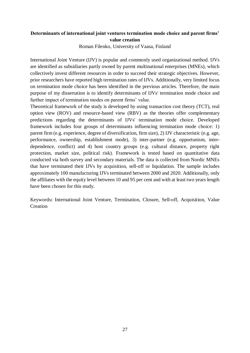# **Determinants of international joint ventures termination mode choice and parent firms' value creation**

Roman Filenko, University of Vaasa, Finland

International Joint Venture (IJV) is popular and commonly used organizational method. IJVs are identified as subsidiaries partly owned by parent multinational enterprises (MNEs), which collectively invest different resources in order to succeed their strategic objectives. However, prior researchers have reported high termination rates of IJVs. Additionally, very limited focus on termination mode choice has been identified in the previous articles. Therefore, the main purpose of my dissertation is to identify determinants of IJVs' termination mode choice and further impact of termination modes on parent firms' value.

Theoretical framework of the study is developed by using transaction cost theory (TCT), real option view (ROV) and resource-based view (RBV) as the theories offer complementary predictions regarding the determinants of IJVs' termination mode choice. Developed framework includes four groups of determinants influencing termination mode choice: 1) parent firm (e.g. experience, degree of diversification, firm size), 2) IJV characteristic (e.g. age, performance, ownership, establishment mode), 3) inter-partner (e.g. opportunism, interdependence, conflict) and 4) host country groups (e.g. cultural distance, property right protection, market size, political risk). Framework is tested based on quantitative data conducted via both survey and secondary materials. The data is collected from Nordic MNEs that have terminated their IJVs by acquisition, sell-off or liquidation. The sample includes approximately 100 manufacturing IJVs terminated between 2000 and 2020. Additionally, only the affiliates with the equity level between 10 and 95 per cent and with at least two years length have been chosen for this study.

Keywords**:** International Joint Venture, Termination, Closure, Sell-off, Acquisition, Value Creation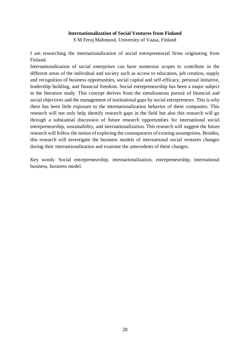#### **Internationalization of Social Ventures from Finland**

S M Feroj Mahmood, University of Vaasa, Finland

I am researching the internationalization of social entrepreneurial firms originating from Finland.

Internationalization of social enterprises can have numerous scopes to contribute in the different areas of the individual and society such as access to education, job creation, supply and recognition of business opportunities, social capital and self-efficacy, personal initiative, leadership building, and financial freedom. Social entrepreneurship has been a major subject in the literature study. This concept derives from the simultaneous pursuit of financial and social objectives and the management of institutional gaps by social entrepreneurs. This is why there has been little exposure to the internationalization behavior of these companies. This research will not only help identify research gaps in the field but also this research will go through a substantial discussion of future research opportunities for international social entrepreneurship, sustainability, and internationalization. This research will suggest the future research will follow the notion of exploring the consequences of existing assumptions. Besides, this research will investigate the business models of international social ventures changes during their internationalization and examine the antecedents of these changes.

Key words: Social entrepreneurship, internationalization, entrepreneurship, international business, business model.